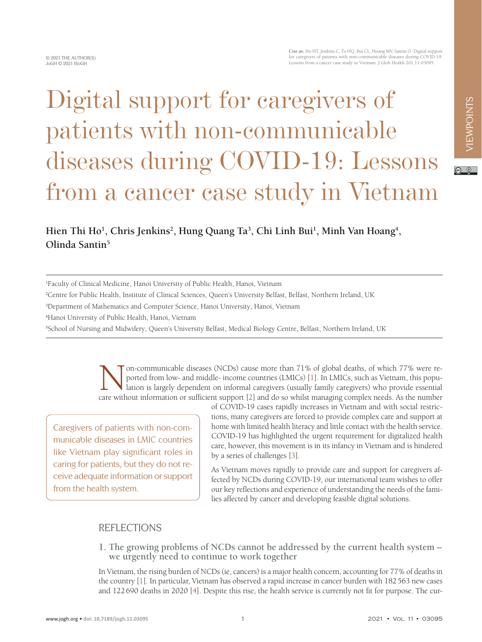# Digital support for caregivers of patients with non-communicable diseases during COVID-19: Lessons from a cancer case study in Vietnam

## Hien Thi Ho<sup>1</sup>, Chris Jenkins<sup>2</sup>, Hung Quang Ta<sup>3</sup>, Chi Linh Bui<sup>1</sup>, Minh Van Hoang<sup>4</sup>, **Olinda Santin5**

1 Faculty of Clinical Medicine, Hanoi University of Public Health, Hanoi, Vietnam

2 Centre for Public Health, Institute of Clinical Sciences, Queen's University Belfast, Belfast, Northern Ireland, UK

3 Department of Mathematics and Computer Science, Hanoi University, Hanoi, Vietnam

4 Hanoi University of Public Health, Hanoi, Vietnam

5 School of Nursing and Midwifery, Queen's University Belfast, Medical Biology Centre, Belfast, Northern Ireland, UK

on-communicable diseases (NCDs) cause more than 71% of global deaths, of which 77% were reported from low- and middle- income countries (LMICs) [1]. In LMICs, such as Vietnam, this population is largely dependent on informal caregivers (usually family caregivers) who provide essential care without information or sufficient support [\[2](#page-3-1)] and do so whilst managing complex needs. As the number

Caregivers of patients with non-communicable diseases in LMIC countries like Vietnam play significant roles in caring for patients, but they do not receive adequate information or support from the health system.

of COVID-19 cases rapidly increases in Vietnam and with social restrictions, many caregivers are forced to provide complex care and support at home with limited health literacy and little contact with the health service. COVID-19 has highlighted the urgent requirement for digitalized health care, however, this movement is in its infancy in Vietnam and is hindered by a series of challenges [\[3](#page-3-2)].

As Vietnam moves rapidly to provide care and support for caregivers affected by NCDs during COVID-19, our international team wishes to offer our key reflections and experience of understanding the needs of the families affected by cancer and developing feasible digital solutions.

## REFLECTIONS

**1. The growing problems of NCDs cannot be addressed by the current health system – we urgently need to continue to work together**

In Vietnam, the rising burden of NCDs (ie, cancers) is a major health concern, accounting for 77% of deaths in the country [\[1](#page-3-0)]. In particular, Vietnam has observed a rapid increase in cancer burden with 182563 new cases and 122690 deaths in 2020 [\[4](#page-3-3)]. Despite this rise, the health service is currently not fit for purpose. The cur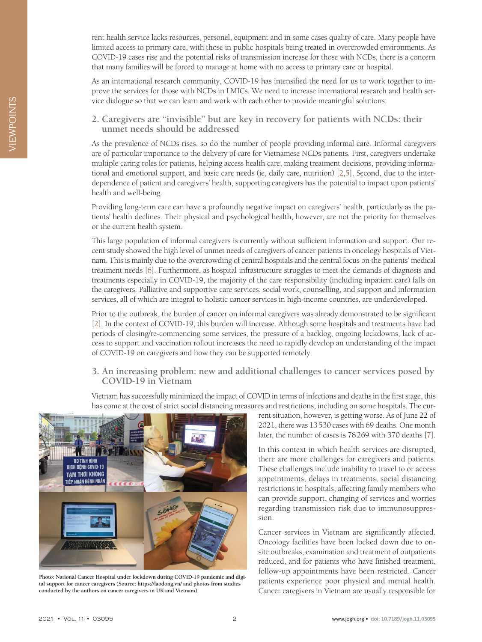rent health service lacks resources, personel, equipment and in some cases quality of care. Many people have limited access to primary care, with those in public hospitals being treated in overcrowded environments. As COVID-19 cases rise and the potential risks of transmission increase for those with NCDs, there is a concern that many families will be forced to manage at home with no access to primary care or hospital.

As an international research community, COVID-19 has intensified the need for us to work together to improve the services for those with NCDs in LMICs. We need to increase international research and health service dialogue so that we can learn and work with each other to provide meaningful solutions.

**2. Caregivers are "invisible" but are key in recovery for patients with NCDs: their unmet needs should be addressed**

As the prevalence of NCDs rises, so do the number of people providing informal care. Informal caregivers are of particular importance to the delivery of care for Vietnamese NCDs patients. First, caregivers undertake multiple caring roles for patients, helping access health care, making treatment decisions, providing informational and emotional support, and basic care needs (ie, daily care, nutrition) [\[2,](#page-3-1)[5](#page-3-4)]. Second, due to the interdependence of patient and caregivers' health, supporting caregivers has the potential to impact upon patients' health and well-being.

Providing long-term care can have a profoundly negative impact on caregivers' health, particularly as the patients' health declines. Their physical and psychological health, however, are not the priority for themselves or the current health system.

This large population of informal caregivers is currently without sufficient information and support. Our recent study showed the high level of unmet needs of caregivers of cancer patients in oncology hospitals of Vietnam. This is mainly due to the overcrowding of central hospitals and the central focus on the patients' medical treatment needs [\[6](#page-3-5)]. Furthermore, as hospital infrastructure struggles to meet the demands of diagnosis and treatments especially in COVID-19, the majority of the care responsibility (including inpatient care) falls on the caregivers. Palliative and supportive care services, social work, counselling, and support and information services, all of which are integral to holistic cancer services in high-income countries, are underdeveloped.

Prior to the outbreak, the burden of cancer on informal caregivers was already demonstrated to be significant [[2\]](#page-3-1). In the context of COVID-19, this burden will increase. Although some hospitals and treatments have had periods of closing/re-commencing some services, the pressure of a backlog, ongoing lockdowns, lack of access to support and vaccination rollout increases the need to rapidly develop an understanding of the impact of COVID-19 on caregivers and how they can be supported remotely.

#### **3. An increasing problem: new and additional challenges to cancer services posed by COVID-19 in Vietnam**

Vietnam has successfully minimized the impact of COVID in terms of infections and deaths in the first stage, this has come at the cost of strict social distancing measures and restrictions, including on some hospitals. The cur-



**Photo: National Cancer Hospital under lockdown during COVID-19 pandemic and digital support for cancer caregivers (Source: https://laodong.vn/ and photos from studies conducted by the authors on cancer caregivers in UK and Vietnam).**

rent situation, however, is getting worse. As of June 22 of 2021, there was 13530 cases with 69 deaths. One month later, the number of cases is 78269 with 370 deaths [[7\]](#page-3-6).

In this context in which health services are disrupted, there are more challenges for caregivers and patients. These challenges include inability to travel to or access appointments, delays in treatments, social distancing restrictions in hospitals, affecting family members who can provide support, changing of services and worries regarding transmission risk due to immunosuppression.

Cancer services in Vietnam are significantly affected. Oncology facilities have been locked down due to onsite outbreaks, examination and treatment of outpatients reduced, and for patients who have finished treatment, follow-up appointments have been restricted. Cancer patients experience poor physical and mental health. Cancer caregivers in Vietnam are usually responsible for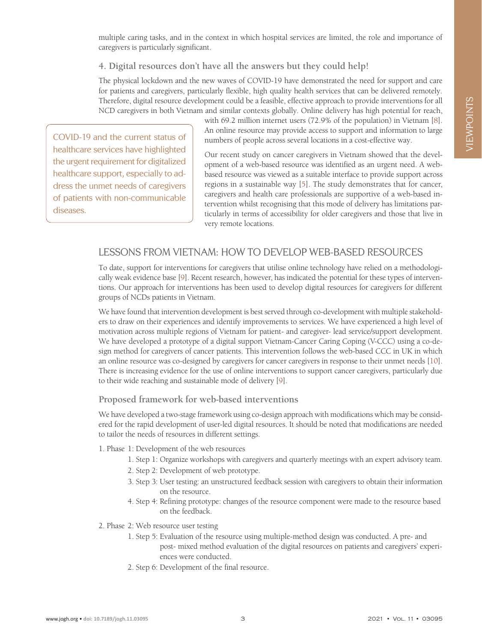multiple caring tasks, and in the context in which hospital services are limited, the role and importance of caregivers is particularly significant.

### **4. Digital resources don't have all the answers but they could help!**

The physical lockdown and the new waves of COVID-19 have demonstrated the need for support and care for patients and caregivers, particularly flexible, high quality health services that can be delivered remotely. Therefore, digital resource development could be a feasible, effective approach to provide interventions for all NCD caregivers in both Vietnam and similar contexts globally. Online delivery has high potential for reach,

COVID-19 and the current status of healthcare services have highlighted the urgent requirement for digitalized healthcare support, especially to address the unmet needs of caregivers of patients with non-communicable diseases.

with 69.2 million internet users (72.9% of the population) in Vietnam [\[8](#page-3-7)]. An online resource may provide access to support and information to large numbers of people across several locations in a cost-effective way.

Our recent study on cancer caregivers in Vietnam showed that the development of a web-based resource was identified as an urgent need. A webbased resource was viewed as a suitable interface to provide support across regions in a sustainable way [[5\]](#page-3-4). The study demonstrates that for cancer, caregivers and health care professionals are supportive of a web-based intervention whilst recognising that this mode of delivery has limitations particularly in terms of accessibility for older caregivers and those that live in very remote locations.

## LESSONS FROM VIETNAM: HOW TO DEVELOP WEB-BASED RESOURCES

To date, support for interventions for caregivers that utilise online technology have relied on a methodologically weak evidence base [\[9](#page-3-8)]. Recent research, however, has indicated the potential for these types of interventions. Our approach for interventions has been used to develop digital resources for caregivers for different groups of NCDs patients in Vietnam.

We have found that intervention development is best served through co-development with multiple stakeholders to draw on their experiences and identify improvements to services. We have experienced a high level of motivation across multiple regions of Vietnam for patient- and caregiver- lead service/support development. We have developed a prototype of a digital support Vietnam-Cancer Caring Coping (V-CCC) using a co-design method for caregivers of cancer patients. This intervention follows the web-based CCC in UK in which an online resource was co-designed by caregivers for cancer caregivers in response to their unmet needs [\[10](#page-3-9)]. There is increasing evidence for the use of online interventions to support cancer caregivers, particularly due to their wide reaching and sustainable mode of delivery [\[9\]](#page-3-8).

### **Proposed framework for web-based interventions**

We have developed a two-stage framework using co-design approach with modifications which may be considered for the rapid development of user-led digital resources. It should be noted that modifications are needed to tailor the needs of resources in different settings.

- 1. Phase 1: Development of the web resources
	- 1. Step 1: Organize workshops with caregivers and quarterly meetings with an expert advisory team.
	- 2. Step 2: Development of web prototype.
	- 3. Step 3: User testing: an unstructured feedback session with caregivers to obtain their information on the resource.
	- 4. Step 4: Refining prototype: changes of the resource component were made to the resource based on the feedback.
- 2. Phase 2: Web resource user testing
	- 1. Step 5: Evaluation of the resource using multiple-method design was conducted. A pre- and post- mixed method evaluation of the digital resources on patients and caregivers' experiences were conducted.
	- 2. Step 6: Development of the final resource.